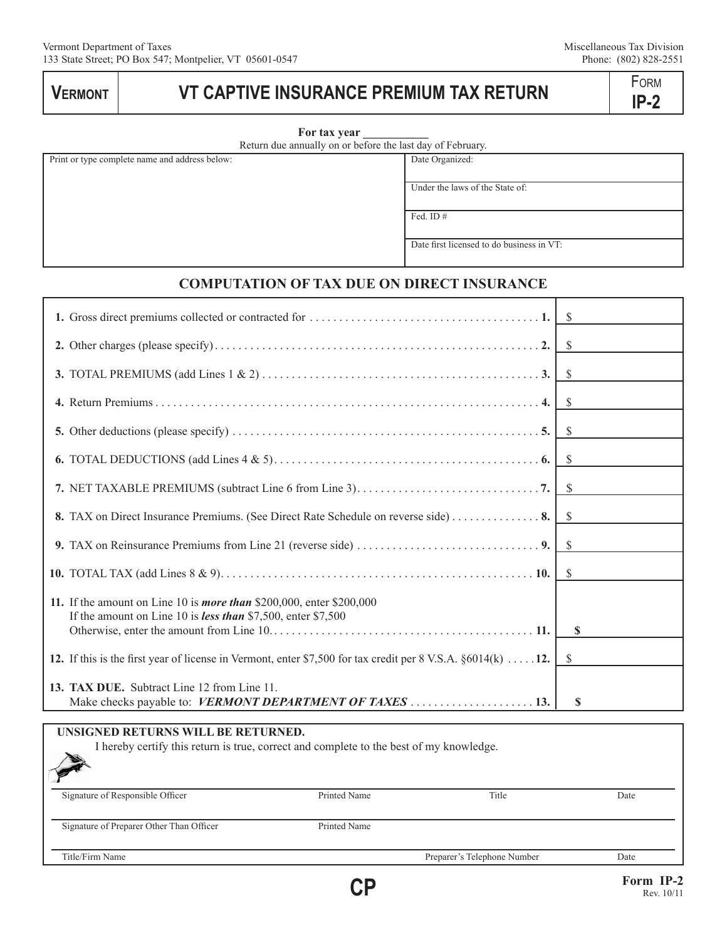# **VERMONT VT CAPTIVE INSURANCE PREMIUM TAX RETURN TAX RETURN**

|  | ابما |  |
|--|------|--|
|  |      |  |

|  | For tax year |  |
|--|--------------|--|
|  |              |  |

Return due annually on or before the last day of February.

Print or type complete name and address below: <br>
Date Organized:

Under the laws of the State of:

Fed. ID #

Date first licensed to do business in VT:

# **COMPUTATION OF TAX DUE ON DIRECT INSURANCE**

|                                                                                                                                             | $\mathcal{S}$ |
|---------------------------------------------------------------------------------------------------------------------------------------------|---------------|
|                                                                                                                                             | $\mathcal{S}$ |
|                                                                                                                                             |               |
|                                                                                                                                             | <sup>\$</sup> |
|                                                                                                                                             |               |
|                                                                                                                                             | <b>S</b>      |
|                                                                                                                                             | <sup>\$</sup> |
|                                                                                                                                             |               |
|                                                                                                                                             |               |
| 9. TAX on Reinsurance Premiums from Line 21 (reverse side) $\dots \dots \dots \dots \dots \dots \dots$                                      | $\mathcal{S}$ |
|                                                                                                                                             | - \$          |
| 11. If the amount on Line 10 is <i>more than</i> \$200,000, enter \$200,000<br>If the amount on Line 10 is less than \$7,500, enter \$7,500 | S             |
|                                                                                                                                             |               |
| 12. If this is the first year of license in Vermont, enter \$7,500 for tax credit per $8 \text{ V.S.A. } \S 6014 \text{(k)} \dots 12$ .     | S             |
| 13. TAX DUE. Subtract Line 12 from Line 11.                                                                                                 |               |
|                                                                                                                                             | \$            |

| UNSIGNED RETURNS WILL BE RETURNED.<br>I hereby certify this return is true, correct and complete to the best of my knowledge. |              |                             |      |
|-------------------------------------------------------------------------------------------------------------------------------|--------------|-----------------------------|------|
| Signature of Responsible Officer                                                                                              | Printed Name | Title                       | Date |
| Signature of Preparer Other Than Officer                                                                                      | Printed Name |                             |      |
| Title/Firm Name                                                                                                               |              | Preparer's Telephone Number | Date |